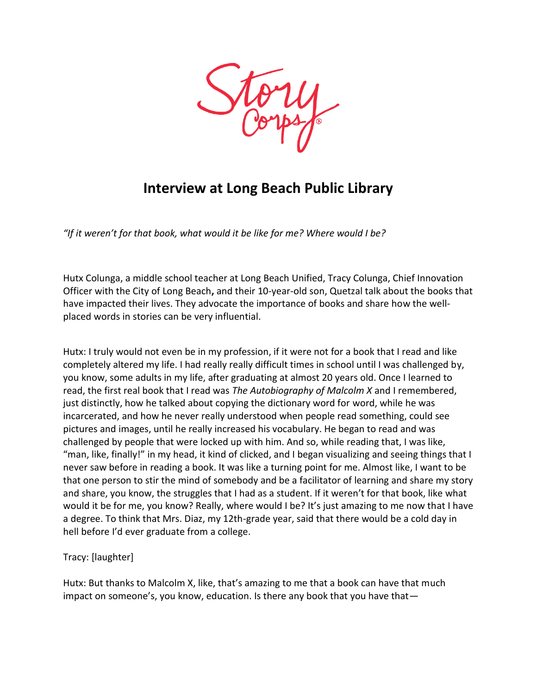

## **Interview at Long Beach Public Library**

*"If it weren't for that book, what would it be like for me? Where would I be?*

Hutx Colunga, a middle school teacher at Long Beach Unified, Tracy Colunga, Chief Innovation Officer with the City of Long Beach**,** and their 10-year-old son, Quetzal talk about the books that have impacted their lives. They advocate the importance of books and share how the wellplaced words in stories can be very influential.

Hutx: I truly would not even be in my profession, if it were not for a book that I read and like completely altered my life. I had really really difficult times in school until I was challenged by, you know, some adults in my life, after graduating at almost 20 years old. Once I learned to read, the first real book that I read was *The Autobiography of Malcolm X* and I remembered, just distinctly, how he talked about copying the dictionary word for word, while he was incarcerated, and how he never really understood when people read something, could see pictures and images, until he really increased his vocabulary. He began to read and was challenged by people that were locked up with him. And so, while reading that, I was like, "man, like, finally!" in my head, it kind of clicked, and I began visualizing and seeing things that I never saw before in reading a book. It was like a turning point for me. Almost like, I want to be that one person to stir the mind of somebody and be a facilitator of learning and share my story and share, you know, the struggles that I had as a student. If it weren't for that book, like what would it be for me, you know? Really, where would I be? It's just amazing to me now that I have a degree. To think that Mrs. Diaz, my 12th-grade year, said that there would be a cold day in hell before I'd ever graduate from a college.

## Tracy: [laughter]

Hutx: But thanks to Malcolm X, like, that's amazing to me that a book can have that much impact on someone's, you know, education. Is there any book that you have that —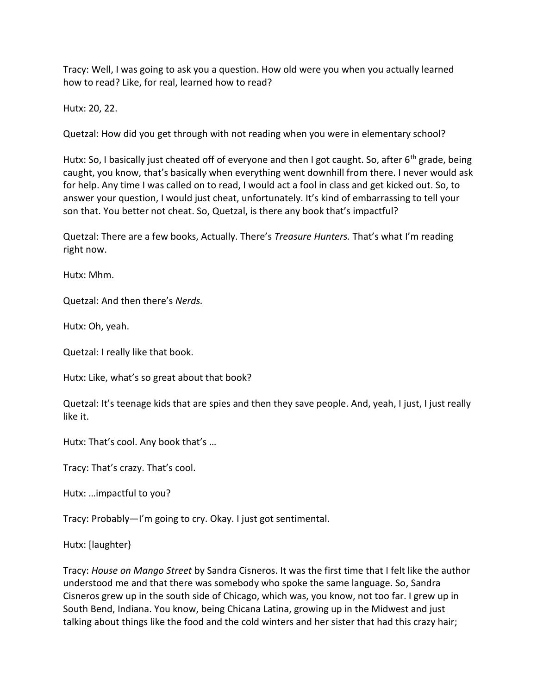Tracy: Well, I was going to ask you a question. How old were you when you actually learned how to read? Like, for real, learned how to read?

Hutx: 20, 22.

Quetzal: How did you get through with not reading when you were in elementary school?

Hutx: So, I basically just cheated off of everyone and then I got caught. So, after 6<sup>th</sup> grade, being caught, you know, that's basically when everything went downhill from there. I never would ask for help. Any time I was called on to read, I would act a fool in class and get kicked out. So, to answer your question, I would just cheat, unfortunately. It's kind of embarrassing to tell your son that. You better not cheat. So, Quetzal, is there any book that's impactful?

Quetzal: There are a few books, Actually. There's *Treasure Hunters.* That's what I'm reading right now.

Hutx: Mhm.

Quetzal: And then there's *Nerds.*

Hutx: Oh, yeah.

Quetzal: I really like that book.

Hutx: Like, what's so great about that book?

Quetzal: It's teenage kids that are spies and then they save people. And, yeah, I just, I just really like it.

Hutx: That's cool. Any book that's …

Tracy: That's crazy. That's cool.

Hutx: …impactful to you?

Tracy: Probably—I'm going to cry. Okay. I just got sentimental.

Hutx: [laughter}

Tracy: *House on Mango Street* by Sandra Cisneros. It was the first time that I felt like the author understood me and that there was somebody who spoke the same language. So, Sandra Cisneros grew up in the south side of Chicago, which was, you know, not too far. I grew up in South Bend, Indiana. You know, being Chicana Latina, growing up in the Midwest and just talking about things like the food and the cold winters and her sister that had this crazy hair;